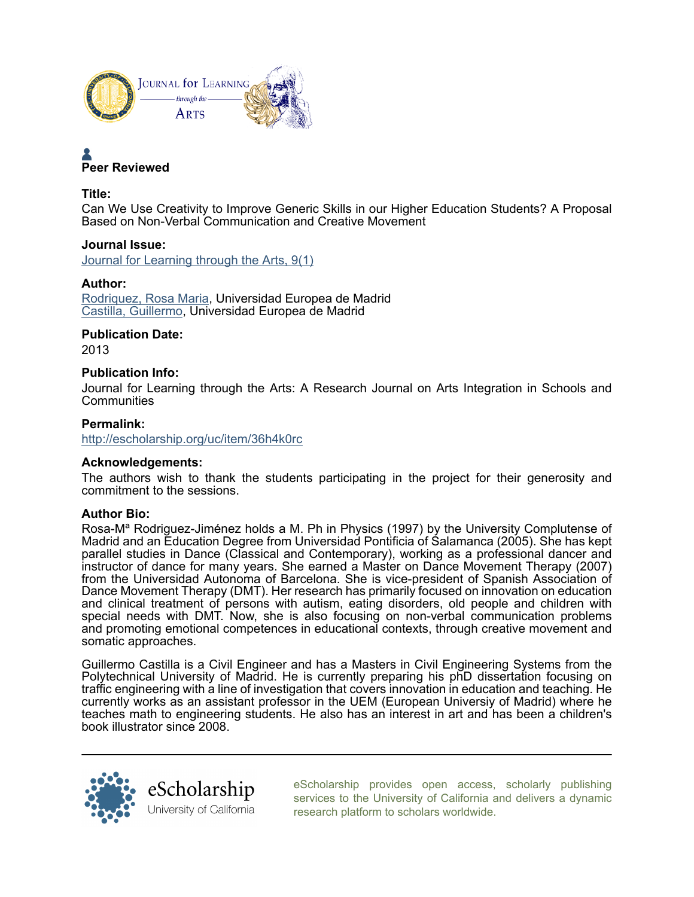



#### Title:

Can We Use Creativity to Improve Generic Skills in our Higher Education Students? A Proposal Based on Non-Verbal Communication and Creative Movement

Journal Issue: [Journal for Learning through the Arts, 9\(1\)](http://escholarship.org/uc/class_lta?volume=9;issue=1)

#### Author:

[Rodriquez, Rosa Maria](http://escholarship.org/uc/search?creator=Rodriquez%2C%20Rosa%20Maria), Universidad Europea de Madrid [Castilla, Guillermo](http://escholarship.org/uc/search?creator=Castilla%2C%20Guillermo), Universidad Europea de Madrid

## Publication Date:

2013

#### Publication Info:

Journal for Learning through the Arts: A Research Journal on Arts Integration in Schools and **Communities** 

### Permalink:

<http://escholarship.org/uc/item/36h4k0rc>

### Acknowledgements:

The authors wish to thank the students participating in the project for their generosity and commitment to the sessions.

#### Author Bio:

Rosa-Mª Rodriguez-Jiménez holds a M. Ph in Physics (1997) by the University Complutense of Madrid and an Education Degree from Universidad Pontificia of Salamanca (2005). She has kept parallel studies in Dance (Classical and Contemporary), working as a professional dancer and instructor of dance for many years. She earned a Master on Dance Movement Therapy (2007) from the Universidad Autonoma of Barcelona. She is vice-president of Spanish Association of Dance Movement Therapy (DMT). Her research has primarily focused on innovation on education and clinical treatment of persons with autism, eating disorders, old people and children with special needs with DMT. Now, she is also focusing on non-verbal communication problems and promoting emotional competences in educational contexts, through creative movement and somatic approaches.

Guillermo Castilla is a Civil Engineer and has a Masters in Civil Engineering Systems from the Polytechnical University of Madrid. He is currently preparing his phD dissertation focusing on traffic engineering with a line of investigation that covers innovation in education and teaching. He currently works as an assistant professor in the UEM (European Universiy of Madrid) where he teaches math to engineering students. He also has an interest in art and has been a children's book illustrator since 2008.



[eScholarship provides open access, scholarly publishing](http://escholarship.org) [services to the University of California and delivers a dynamic](http://escholarship.org) [research platform to scholars worldwide.](http://escholarship.org)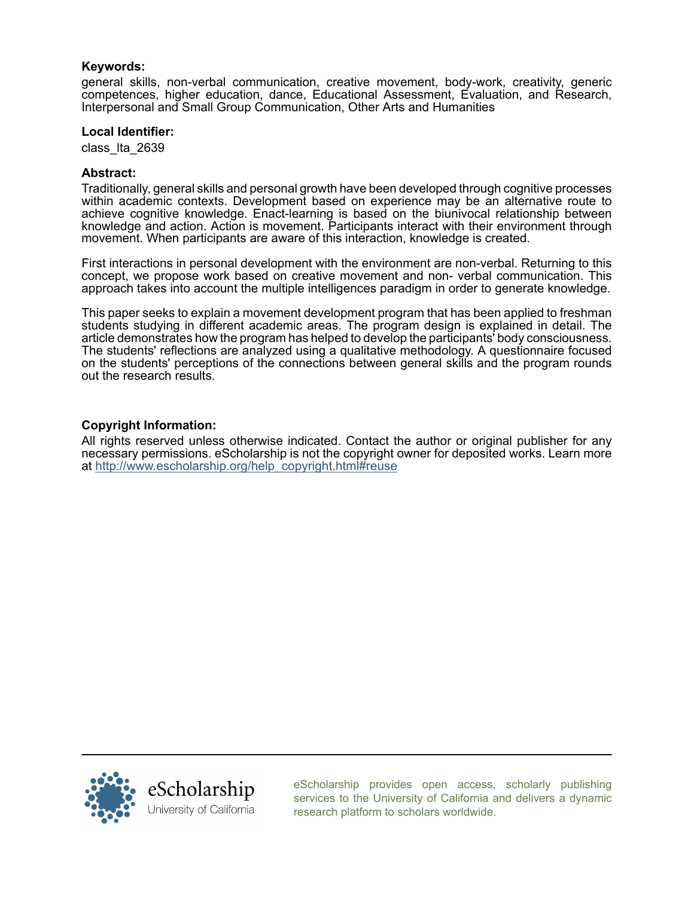#### Keywords:

general skills, non-verbal communication, creative movement, body-work, creativity, generic competences, higher education, dance, Educational Assessment, Evaluation, and Research, Interpersonal and Small Group Communication, Other Arts and Humanities

#### Local Identifier:

class\_lta\_2639

#### Abstract:

Traditionally, general skills and personal growth have been developed through cognitive processes within academic contexts. Development based on experience may be an alternative route to achieve cognitive knowledge. Enact-learning is based on the biunivocal relationship between knowledge and action. Action is movement. Participants interact with their environment through movement. When participants are aware of this interaction, knowledge is created.

First interactions in personal development with the environment are non-verbal. Returning to this concept, we propose work based on creative movement and non- verbal communication. This approach takes into account the multiple intelligences paradigm in order to generate knowledge.

This paper seeks to explain a movement development program that has been applied to freshman students studying in different academic areas. The program design is explained in detail. The article demonstrates how the program has helped to develop the participants' body consciousness. The students' reflections are analyzed using a qualitative methodology. A questionnaire focused on the students' perceptions of the connections between general skills and the program rounds out the research results.

### Copyright Information:

All rights reserved unless otherwise indicated. Contact the author or original publisher for any necessary permissions. eScholarship is not the copyright owner for deposited works. Learn more at [http://www.escholarship.org/help\\_copyright.html#reuse](http://www.escholarship.org/help_copyright.html#reuse)



[eScholarship provides open access, scholarly publishing](http://escholarship.org) [services to the University of California and delivers a dynamic](http://escholarship.org) [research platform to scholars worldwide.](http://escholarship.org)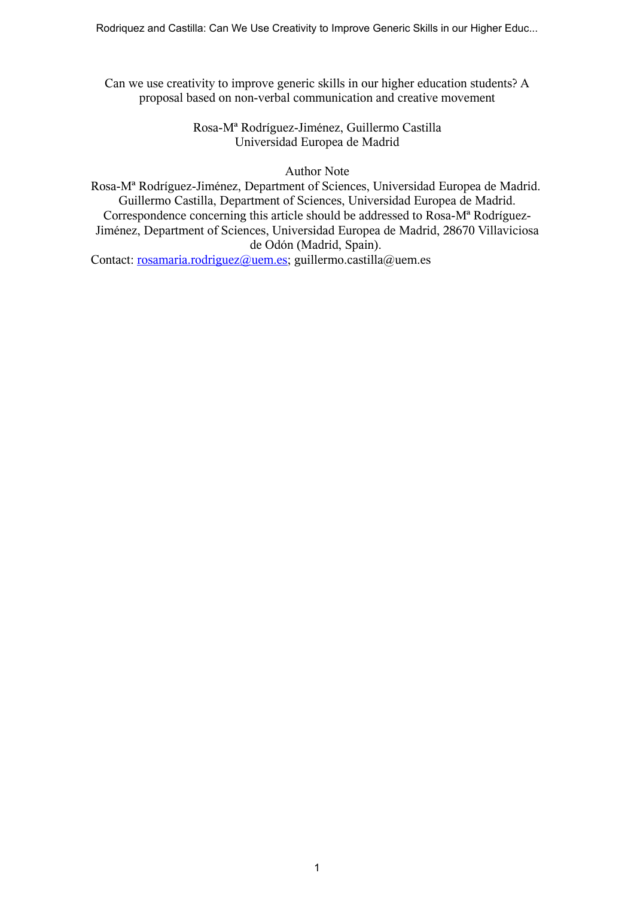Can we use creativity to improve generic skills in our higher education students? A proposal based on non-verbal communication and creative movement

# Rosa-Mª Rodríguez-Jiménez, Guillermo Castilla Universidad Europea de Madrid

# Author Note

Rosa-Mª Rodríguez-Jiménez, Department of Sciences, Universidad Europea de Madrid. Guillermo Castilla, Department of Sciences, Universidad Europea de Madrid. Correspondence concerning this article should be addressed to Rosa-Mª Rodríguez-Jiménez, Department of Sciences, Universidad Europea de Madrid, 28670 Villaviciosa de Odón (Madrid, Spain).

Contact: rosamaria.rodriguez@uem.es; guillermo.castilla@uem.es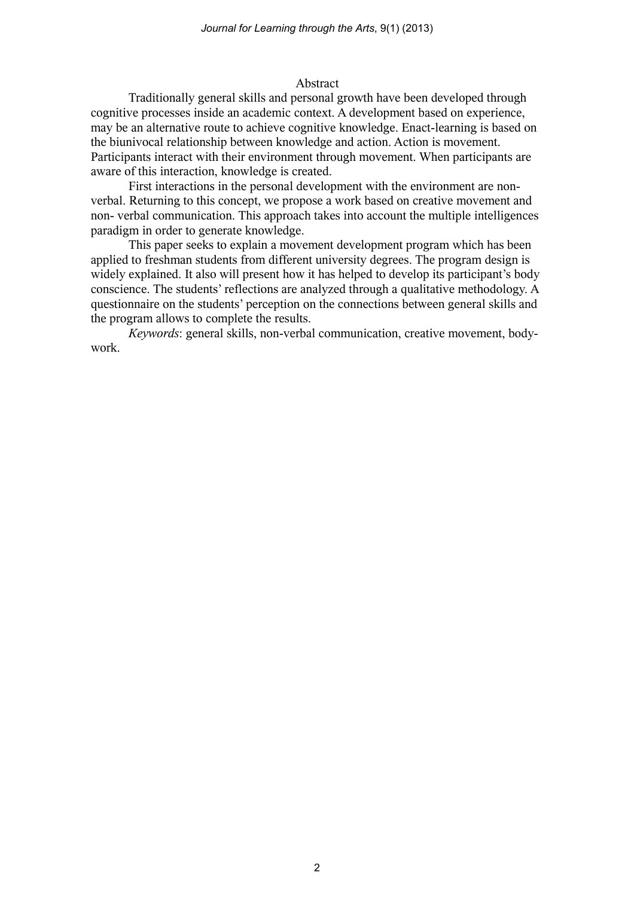# Abstract

Traditionally general skills and personal growth have been developed through cognitive processes inside an academic context. A development based on experience, may be an alternative route to achieve cognitive knowledge. Enact-learning is based on the biunivocal relationship between knowledge and action. Action is movement. Participants interact with their environment through movement. When participants are aware of this interaction, knowledge is created.

First interactions in the personal development with the environment are nonverbal. Returning to this concept, we propose a work based on creative movement and non- verbal communication. This approach takes into account the multiple intelligences paradigm in order to generate knowledge.

This paper seeks to explain a movement development program which has been applied to freshman students from different university degrees. The program design is widely explained. It also will present how it has helped to develop its participant's body conscience. The students' reflections are analyzed through a qualitative methodology. A questionnaire on the students' perception on the connections between general skills and the program allows to complete the results.

*Keywords*: general skills, non-verbal communication, creative movement, bodywork.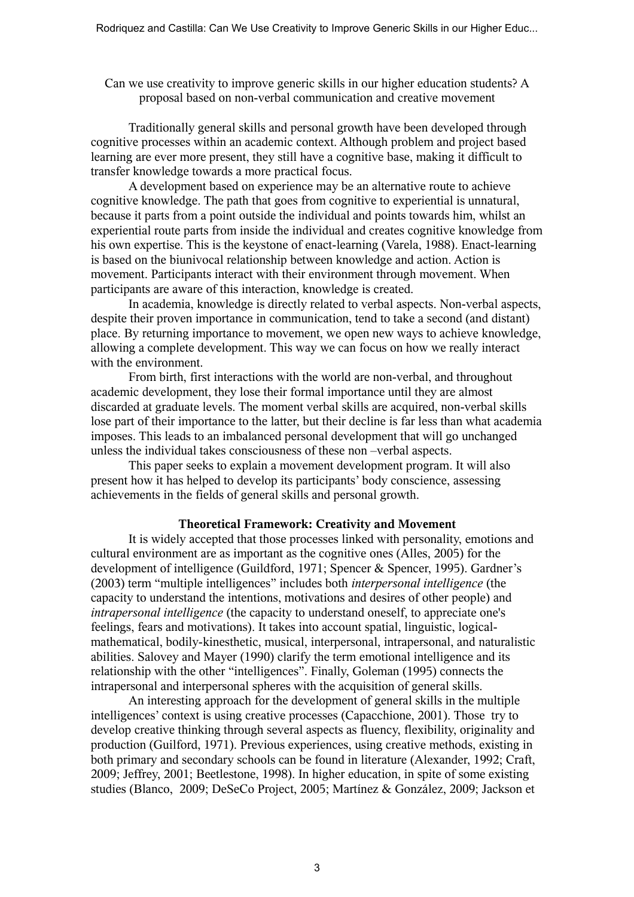Can we use creativity to improve generic skills in our higher education students? A proposal based on non-verbal communication and creative movement

Traditionally general skills and personal growth have been developed through cognitive processes within an academic context. Although problem and project based learning are ever more present, they still have a cognitive base, making it difficult to transfer knowledge towards a more practical focus.

A development based on experience may be an alternative route to achieve cognitive knowledge. The path that goes from cognitive to experiential is unnatural, because it parts from a point outside the individual and points towards him, whilst an experiential route parts from inside the individual and creates cognitive knowledge from his own expertise. This is the keystone of enact-learning (Varela, 1988). Enact-learning is based on the biunivocal relationship between knowledge and action. Action is movement. Participants interact with their environment through movement. When participants are aware of this interaction, knowledge is created.

In academia, knowledge is directly related to verbal aspects. Non-verbal aspects, despite their proven importance in communication, tend to take a second (and distant) place. By returning importance to movement, we open new ways to achieve knowledge, allowing a complete development. This way we can focus on how we really interact with the environment.

From birth, first interactions with the world are non-verbal, and throughout academic development, they lose their formal importance until they are almost discarded at graduate levels. The moment verbal skills are acquired, non-verbal skills lose part of their importance to the latter, but their decline is far less than what academia imposes. This leads to an imbalanced personal development that will go unchanged unless the individual takes consciousness of these non –verbal aspects.

This paper seeks to explain a movement development program. It will also present how it has helped to develop its participants' body conscience, assessing achievements in the fields of general skills and personal growth.

## **Theoretical Framework: Creativity and Movement**

It is widely accepted that those processes linked with personality, emotions and cultural environment are as important as the cognitive ones (Alles, 2005) for the development of intelligence (Guildford, 1971; Spencer & Spencer, 1995). Gardner's (2003) term "multiple intelligences" includes both *interpersonal intelligence* (the capacity to understand the intentions, motivations and desires of other people) and *intrapersonal intelligence* (the capacity to understand oneself, to appreciate one's feelings, fears and motivations). It takes into account spatial, linguistic, logicalmathematical, bodily-kinesthetic, musical, interpersonal, intrapersonal, and naturalistic abilities. Salovey and Mayer (1990) clarify the term emotional intelligence and its relationship with the other "intelligences". Finally, Goleman (1995) connects the intrapersonal and interpersonal spheres with the acquisition of general skills.

An interesting approach for the development of general skills in the multiple intelligences' context is using creative processes (Capacchione, 2001). Those try to develop creative thinking through several aspects as fluency, flexibility, originality and production (Guilford, 1971). Previous experiences, using creative methods, existing in both primary and secondary schools can be found in literature (Alexander, 1992; Craft, 2009; Jeffrey, 2001; Beetlestone, 1998). In higher education, in spite of some existing studies (Blanco, 2009; DeSeCo Project, 2005; Martínez & González, 2009; Jackson et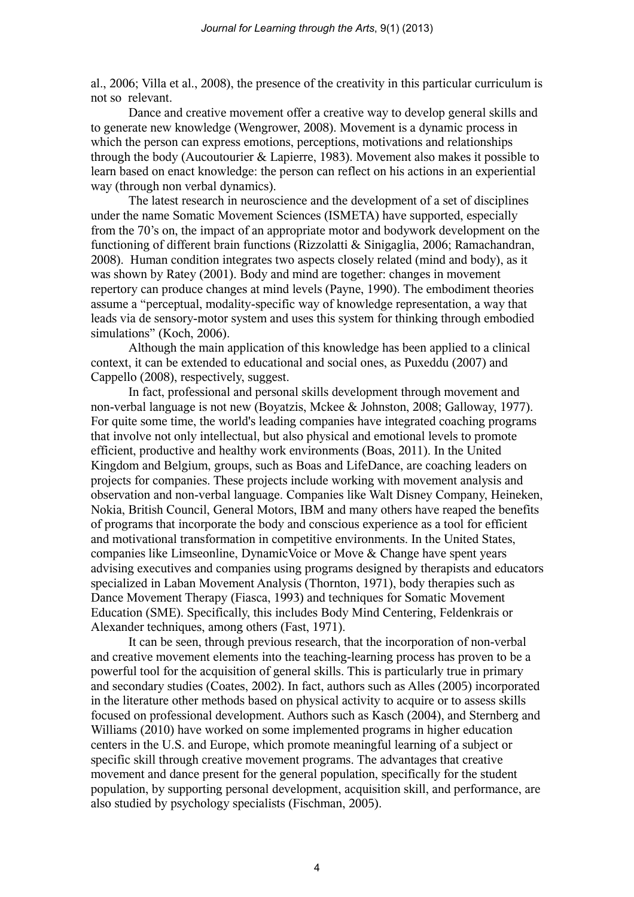al., 2006; Villa et al., 2008), the presence of the creativity in this particular curriculum is not so relevant.

Dance and creative movement offer a creative way to develop general skills and to generate new knowledge (Wengrower, 2008). Movement is a dynamic process in which the person can express emotions, perceptions, motivations and relationships through the body (Aucoutourier & Lapierre, 1983). Movement also makes it possible to learn based on enact knowledge: the person can reflect on his actions in an experiential way (through non verbal dynamics).

The latest research in neuroscience and the development of a set of disciplines under the name Somatic Movement Sciences (ISMETA) have supported, especially from the 70's on, the impact of an appropriate motor and bodywork development on the functioning of different brain functions (Rizzolatti & Sinigaglia, 2006; Ramachandran, 2008). Human condition integrates two aspects closely related (mind and body), as it was shown by Ratey (2001). Body and mind are together: changes in movement repertory can produce changes at mind levels (Payne, 1990). The embodiment theories assume a "perceptual, modality-specific way of knowledge representation, a way that leads via de sensory-motor system and uses this system for thinking through embodied simulations" (Koch, 2006).

Although the main application of this knowledge has been applied to a clinical context, it can be extended to educational and social ones, as Puxeddu (2007) and Cappello (2008), respectively, suggest.

In fact, professional and personal skills development through movement and non-verbal language is not new (Boyatzis, Mckee & Johnston, 2008; Galloway, 1977). For quite some time, the world's leading companies have integrated coaching programs that involve not only intellectual, but also physical and emotional levels to promote efficient, productive and healthy work environments (Boas, 2011). In the United Kingdom and Belgium, groups, such as Boas and LifeDance, are coaching leaders on projects for companies. These projects include working with movement analysis and observation and non-verbal language. Companies like Walt Disney Company, Heineken, Nokia, British Council, General Motors, IBM and many others have reaped the benefits of programs that incorporate the body and conscious experience as a tool for efficient and motivational transformation in competitive environments. In the United States, companies like Limseonline, DynamicVoice or Move & Change have spent years advising executives and companies using programs designed by therapists and educators specialized in Laban Movement Analysis (Thornton, 1971), body therapies such as Dance Movement Therapy (Fiasca, 1993) and techniques for Somatic Movement Education (SME). Specifically, this includes Body Mind Centering, Feldenkrais or Alexander techniques, among others (Fast, 1971).

It can be seen, through previous research, that the incorporation of non-verbal and creative movement elements into the teaching-learning process has proven to be a powerful tool for the acquisition of general skills. This is particularly true in primary and secondary studies (Coates, 2002). In fact, authors such as Alles (2005) incorporated in the literature other methods based on physical activity to acquire or to assess skills focused on professional development. Authors such as Kasch (2004), and Sternberg and Williams (2010) have worked on some implemented programs in higher education centers in the U.S. and Europe, which promote meaningful learning of a subject or specific skill through creative movement programs. The advantages that creative movement and dance present for the general population, specifically for the student population, by supporting personal development, acquisition skill, and performance, are also studied by psychology specialists (Fischman, 2005).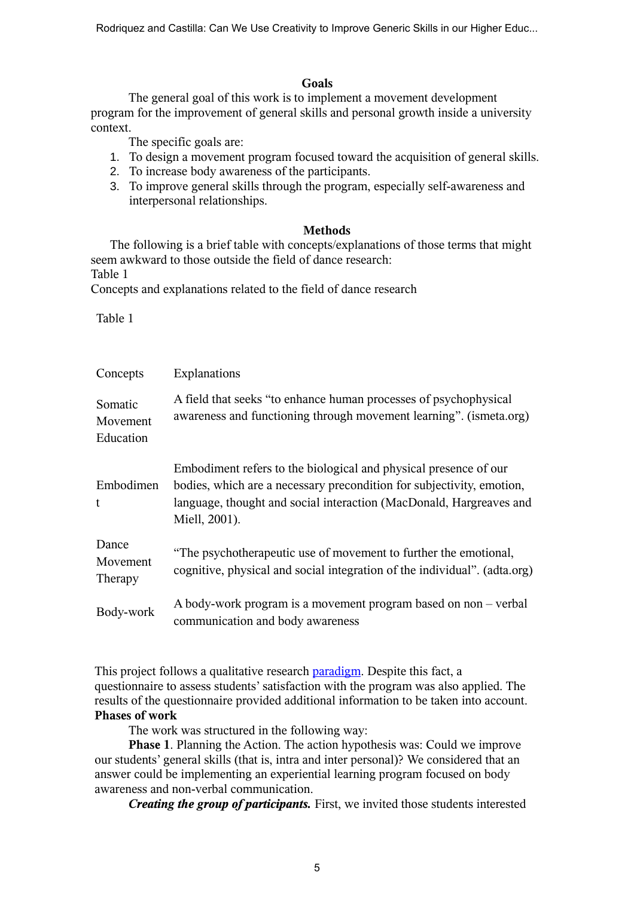Rodriquez and Castilla: Can We Use Creativity to Improve Generic Skills in our Higher Educ...

### **Goals**

The general goal of this work is to implement a movement development program for the improvement of general skills and personal growth inside a university context.

The specific goals are:

- 1. To design a movement program focused toward the acquisition of general skills.
- 2. To increase body awareness of the participants.
- 3. To improve general skills through the program, especially self-awareness and interpersonal relationships.

## **Methods**

The following is a brief table with concepts/explanations of those terms that might seem awkward to those outside the field of dance research: Table 1

Concepts and explanations related to the field of dance research

Table 1

| Concepts                         | Explanations                                                                                                                                                                                                                      |  |
|----------------------------------|-----------------------------------------------------------------------------------------------------------------------------------------------------------------------------------------------------------------------------------|--|
| Somatic<br>Movement<br>Education | A field that seeks "to enhance human processes of psychophysical<br>awareness and functioning through movement learning". (ismeta.org)                                                                                            |  |
| Embodimen<br>t                   | Embodiment refers to the biological and physical presence of our<br>bodies, which are a necessary precondition for subjectivity, emotion,<br>language, thought and social interaction (MacDonald, Hargreaves and<br>Miell, 2001). |  |
| Dance<br>Movement<br>Therapy     | "The psychotherapeutic use of movement to further the emotional,<br>cognitive, physical and social integration of the individual". (adta.org)                                                                                     |  |
| Body-work                        | A body-work program is a movement program based on non – verbal<br>communication and body awareness                                                                                                                               |  |

This project follows a qualitative research paradigm. Despite this fact, a questionnaire to assess students' satisfaction with the program was also applied. The results of the questionnaire provided additional information to be taken into account. **Phases of work**

The work was structured in the following way:

**Phase 1**. Planning the Action. The action hypothesis was: Could we improve our students' general skills (that is, intra and inter personal)? We considered that an answer could be implementing an experiential learning program focused on body awareness and non-verbal communication.

*Creating the group of participants.* First, we invited those students interested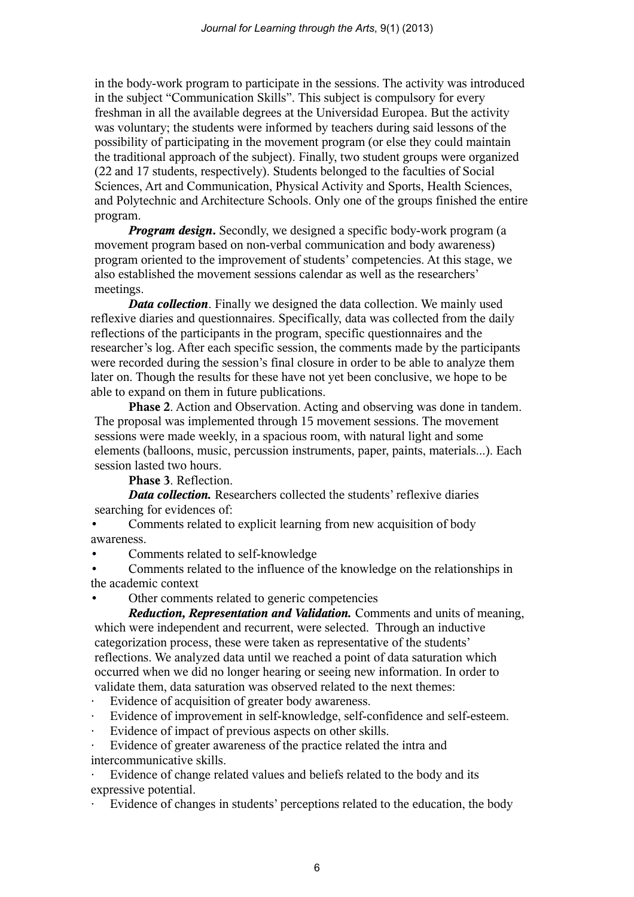in the body-work program to participate in the sessions. The activity was introduced in the subject "Communication Skills". This subject is compulsory for every freshman in all the available degrees at the Universidad Europea. But the activity was voluntary; the students were informed by teachers during said lessons of the possibility of participating in the movement program (or else they could maintain the traditional approach of the subject). Finally, two student groups were organized (22 and 17 students, respectively). Students belonged to the faculties of Social Sciences, Art and Communication, Physical Activity and Sports, Health Sciences, and Polytechnic and Architecture Schools. Only one of the groups finished the entire program.

*Program design.* Secondly, we designed a specific body-work program (a movement program based on non-verbal communication and body awareness) program oriented to the improvement of students' competencies. At this stage, we also established the movement sessions calendar as well as the researchers' meetings.

*Data collection*. Finally we designed the data collection. We mainly used reflexive diaries and questionnaires. Specifically, data was collected from the daily reflections of the participants in the program, specific questionnaires and the researcher's log. After each specific session, the comments made by the participants were recorded during the session's final closure in order to be able to analyze them later on. Though the results for these have not yet been conclusive, we hope to be able to expand on them in future publications.

**Phase 2**. Action and Observation. Acting and observing was done in tandem. The proposal was implemented through 15 movement sessions. The movement sessions were made weekly, in a spacious room, with natural light and some elements (balloons, music, percussion instruments, paper, paints, materials...). Each session lasted two hours.

**Phase 3**. Reflection.

*Data collection.* Researchers collected the students' reflexive diaries searching for evidences of:

• Comments related to explicit learning from new acquisition of body awareness.

• Comments related to self-knowledge

• Comments related to the influence of the knowledge on the relationships in the academic context

Other comments related to generic competencies

*Reduction, Representation and Validation.* Comments and units of meaning, which were independent and recurrent, were selected. Through an inductive categorization process, these were taken as representative of the students' reflections. We analyzed data until we reached a point of data saturation which occurred when we did no longer hearing or seeing new information. In order to validate them, data saturation was observed related to the next themes:

- Evidence of acquisition of greater body awareness.
- Evidence of improvement in self-knowledge, self-confidence and self-esteem.
- Evidence of impact of previous aspects on other skills.

Evidence of greater awareness of the practice related the intra and intercommunicative skills.

Evidence of change related values and beliefs related to the body and its expressive potential.

Evidence of changes in students' perceptions related to the education, the body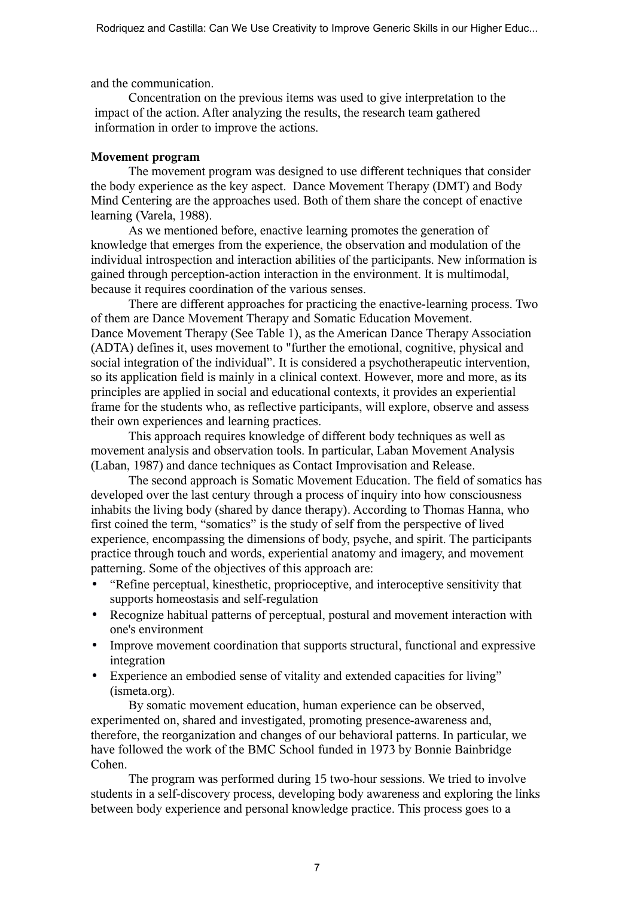and the communication.

Concentration on the previous items was used to give interpretation to the impact of the action. After analyzing the results, the research team gathered information in order to improve the actions.

# **Movement program**

The movement program was designed to use different techniques that consider the body experience as the key aspect. Dance Movement Therapy (DMT) and Body Mind Centering are the approaches used. Both of them share the concept of enactive learning (Varela, 1988).

As we mentioned before, enactive learning promotes the generation of knowledge that emerges from the experience, the observation and modulation of the individual introspection and interaction abilities of the participants. New information is gained through perception-action interaction in the environment. It is multimodal, because it requires coordination of the various senses.

There are different approaches for practicing the enactive-learning process. Two of them are Dance Movement Therapy and Somatic Education Movement. Dance Movement Therapy (See Table 1), as the American Dance Therapy Association (ADTA) defines it, uses movement to "further the emotional, cognitive, physical and social integration of the individual". It is considered a psychotherapeutic intervention, so its application field is mainly in a clinical context. However, more and more, as its principles are applied in social and educational contexts, it provides an experiential frame for the students who, as reflective participants, will explore, observe and assess their own experiences and learning practices.

This approach requires knowledge of different body techniques as well as movement analysis and observation tools. In particular, Laban Movement Analysis (Laban, 1987) and dance techniques as Contact Improvisation and Release.

The second approach is Somatic Movement Education. The field of somatics has developed over the last century through a process of inquiry into how consciousness inhabits the living body (shared by dance therapy). According to Thomas Hanna, who first coined the term, "somatics" is the study of self from the perspective of lived experience, encompassing the dimensions of body, psyche, and spirit. The participants practice through touch and words, experiential anatomy and imagery, and movement patterning. Some of the objectives of this approach are:

- "Refine perceptual, kinesthetic, proprioceptive, and interoceptive sensitivity that supports homeostasis and self-regulation
- Recognize habitual patterns of perceptual, postural and movement interaction with one's environment
- Improve movement coordination that supports structural, functional and expressive integration
- Experience an embodied sense of vitality and extended capacities for living" (ismeta.org).

By somatic movement education, human experience can be observed, experimented on, shared and investigated, promoting presence-awareness and, therefore, the reorganization and changes of our behavioral patterns. In particular, we have followed the work of the BMC School funded in 1973 by Bonnie Bainbridge Cohen.

The program was performed during 15 two-hour sessions. We tried to involve students in a self-discovery process, developing body awareness and exploring the links between body experience and personal knowledge practice. This process goes to a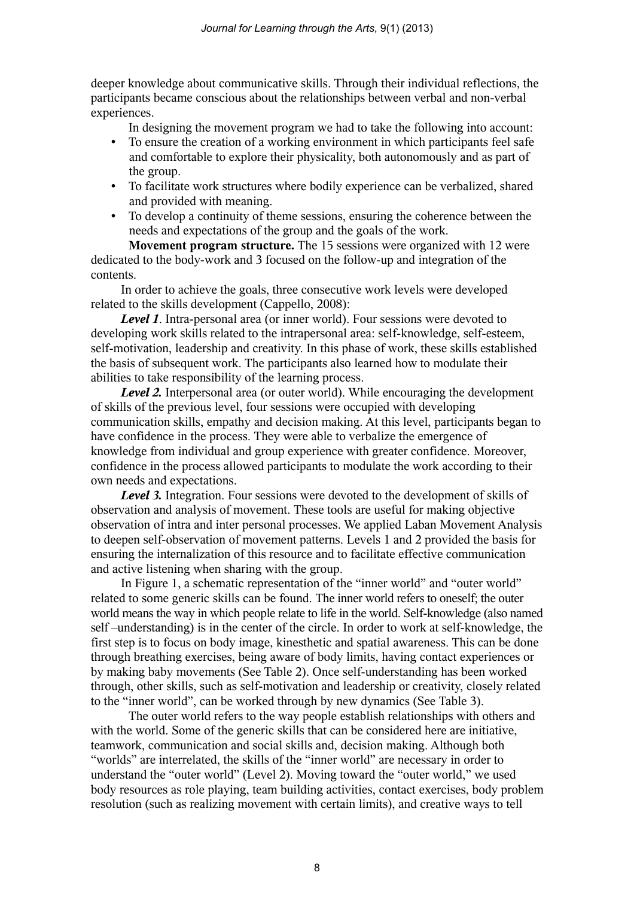deeper knowledge about communicative skills. Through their individual reflections, the participants became conscious about the relationships between verbal and non-verbal experiences.

In designing the movement program we had to take the following into account:

- To ensure the creation of a working environment in which participants feel safe and comfortable to explore their physicality, both autonomously and as part of the group.
- To facilitate work structures where bodily experience can be verbalized, shared and provided with meaning.
- To develop a continuity of theme sessions, ensuring the coherence between the needs and expectations of the group and the goals of the work.

**Movement program structure.** The 15 sessions were organized with 12 were dedicated to the body-work and 3 focused on the follow-up and integration of the contents.

In order to achieve the goals, three consecutive work levels were developed related to the skills development (Cappello, 2008):

*Level 1*. Intra-personal area (or inner world). Four sessions were devoted to developing work skills related to the intrapersonal area: self-knowledge, self-esteem, self-motivation, leadership and creativity. In this phase of work, these skills established the basis of subsequent work. The participants also learned how to modulate their abilities to take responsibility of the learning process.

*Level 2.* Interpersonal area (or outer world). While encouraging the development of skills of the previous level, four sessions were occupied with developing communication skills, empathy and decision making. At this level, participants began to have confidence in the process. They were able to verbalize the emergence of knowledge from individual and group experience with greater confidence. Moreover, confidence in the process allowed participants to modulate the work according to their own needs and expectations.

*Level 3.* Integration. Four sessions were devoted to the development of skills of observation and analysis of movement. These tools are useful for making objective observation of intra and inter personal processes. We applied Laban Movement Analysis to deepen self-observation of movement patterns. Levels 1 and 2 provided the basis for ensuring the internalization of this resource and to facilitate effective communication and active listening when sharing with the group.

In Figure 1, a schematic representation of the "inner world" and "outer world" related to some generic skills can be found. The inner world refers to oneself; the outer world means the way in which people relate to life in the world. Self-knowledge (also named self –understanding) is in the center of the circle. In order to work at self-knowledge, the first step is to focus on body image, kinesthetic and spatial awareness. This can be done through breathing exercises, being aware of body limits, having contact experiences or by making baby movements (See Table 2). Once self-understanding has been worked through, other skills, such as self-motivation and leadership or creativity, closely related to the "inner world", can be worked through by new dynamics (See Table 3).

The outer world refers to the way people establish relationships with others and with the world. Some of the generic skills that can be considered here are initiative, teamwork, communication and social skills and, decision making. Although both "worlds" are interrelated, the skills of the "inner world" are necessary in order to understand the "outer world" (Level 2). Moving toward the "outer world," we used body resources as role playing, team building activities, contact exercises, body problem resolution (such as realizing movement with certain limits), and creative ways to tell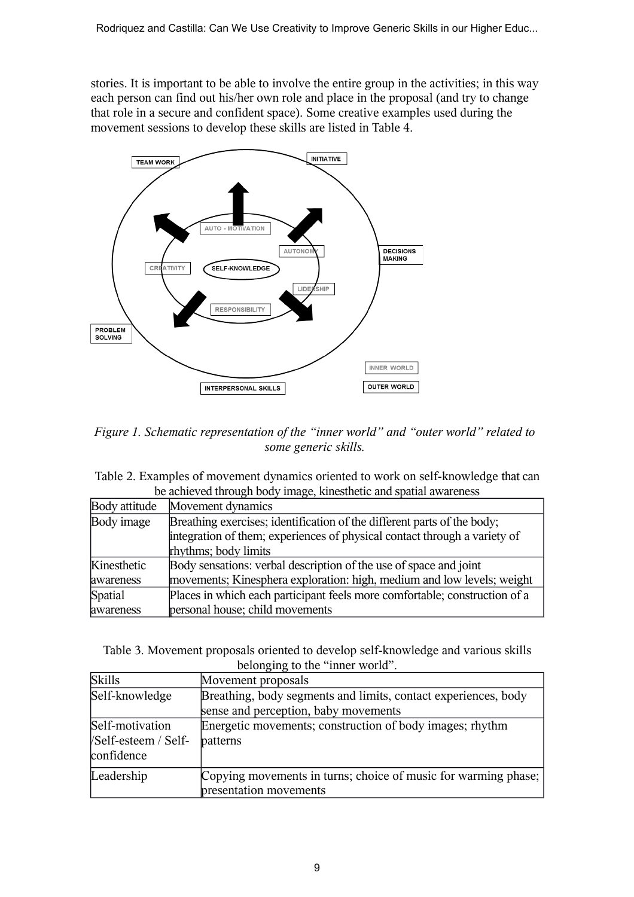stories. It is important to be able to involve the entire group in the activities; in this way each person can find out his/her own role and place in the proposal (and try to change that role in a secure and confident space). Some creative examples used during the movement sessions to develop these skills are listed in Table 4.



*Figure 1. Schematic representation of the "inner world" and "outer world" related to some generic skills.*

| Table 2. Examples of movement dynamics oriented to work on self-knowledge that can |
|------------------------------------------------------------------------------------|
| be achieved through body image, kinesthetic and spatial awareness                  |

| Body attitude | Movement dynamics                                                          |  |
|---------------|----------------------------------------------------------------------------|--|
| Body image    | Breathing exercises; identification of the different parts of the body;    |  |
|               | integration of them; experiences of physical contact through a variety of  |  |
|               | rhythms; body limits                                                       |  |
| Kinesthetic   | Body sensations: verbal description of the use of space and joint          |  |
| awareness     | movements; Kinesphera exploration: high, medium and low levels; weight     |  |
| Spatial       | Places in which each participant feels more comfortable; construction of a |  |
| awareness     | personal house; child movements                                            |  |

Table 3. Movement proposals oriented to develop self-knowledge and various skills belonging to the "inner world".

| <b>Skills</b>                                         | Movement proposals                                                                                     |  |  |  |
|-------------------------------------------------------|--------------------------------------------------------------------------------------------------------|--|--|--|
| Self-knowledge                                        | Breathing, body segments and limits, contact experiences, body<br>sense and perception, baby movements |  |  |  |
| Self-motivation<br>/Self-esteem / Self-<br>confidence | Energetic movements; construction of body images; rhythm<br>patterns                                   |  |  |  |
| Leadership                                            | Copying movements in turns; choice of music for warming phase;<br>presentation movements               |  |  |  |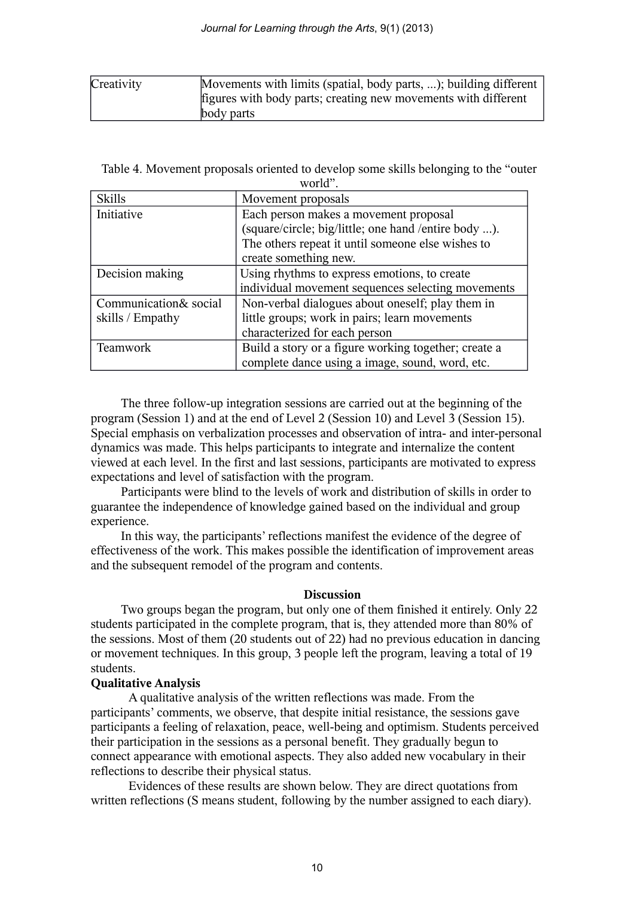| Creativity | Movements with limits (spatial, body parts, ); building different |
|------------|-------------------------------------------------------------------|
|            | figures with body parts; creating new movements with different    |
|            | body parts                                                        |

| Table 4. Movement proposals oriented to develop some skills belonging to the "outer" |  |
|--------------------------------------------------------------------------------------|--|
| world".                                                                              |  |

| <b>Skills</b>         | Movement proposals                                   |
|-----------------------|------------------------------------------------------|
| Initiative            | Each person makes a movement proposal                |
|                       | (square/circle; big/little; one hand /entire body ). |
|                       | The others repeat it until someone else wishes to    |
|                       | create something new.                                |
| Decision making       | Using rhythms to express emotions, to create         |
|                       | individual movement sequences selecting movements    |
| Communication& social | Non-verbal dialogues about oneself; play them in     |
| skills / Empathy      | little groups; work in pairs; learn movements        |
|                       | characterized for each person                        |
| <b>Teamwork</b>       | Build a story or a figure working together; create a |
|                       | complete dance using a image, sound, word, etc.      |

The three follow-up integration sessions are carried out at the beginning of the program (Session 1) and at the end of Level 2 (Session 10) and Level 3 (Session 15). Special emphasis on verbalization processes and observation of intra- and inter-personal dynamics was made. This helps participants to integrate and internalize the content viewed at each level. In the first and last sessions, participants are motivated to express expectations and level of satisfaction with the program.

Participants were blind to the levels of work and distribution of skills in order to guarantee the independence of knowledge gained based on the individual and group experience.

In this way, the participants' reflections manifest the evidence of the degree of effectiveness of the work. This makes possible the identification of improvement areas and the subsequent remodel of the program and contents.

### **Discussion**

Two groups began the program, but only one of them finished it entirely. Only 22 students participated in the complete program, that is, they attended more than 80% of the sessions. Most of them (20 students out of 22) had no previous education in dancing or movement techniques. In this group, 3 people left the program, leaving a total of 19 students.

# **Qualitative Analysis**

A qualitative analysis of the written reflections was made. From the participants' comments, we observe, that despite initial resistance, the sessions gave participants a feeling of relaxation, peace, well-being and optimism. Students perceived their participation in the sessions as a personal benefit. They gradually begun to connect appearance with emotional aspects. They also added new vocabulary in their reflections to describe their physical status.

Evidences of these results are shown below. They are direct quotations from written reflections (S means student, following by the number assigned to each diary).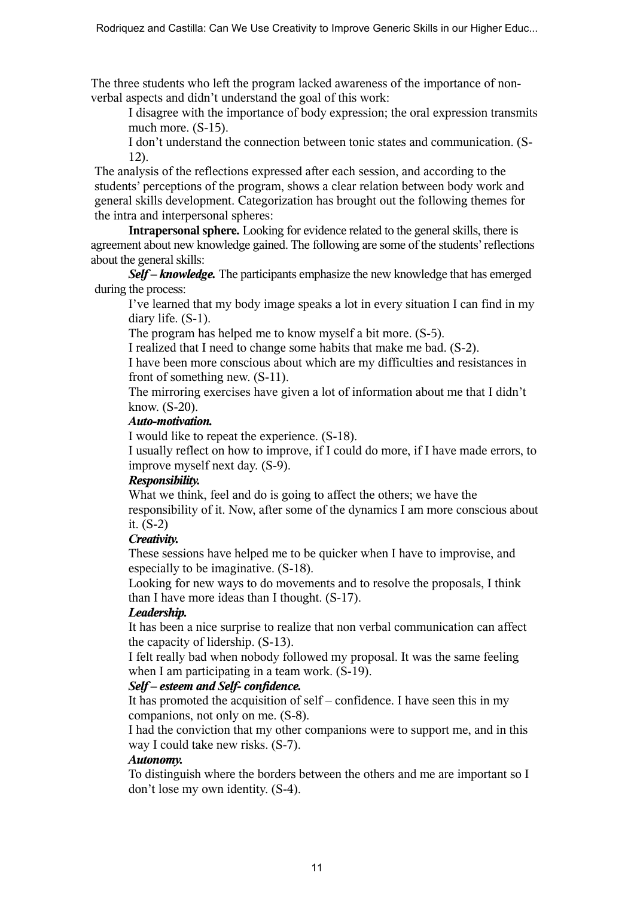The three students who left the program lacked awareness of the importance of nonverbal aspects and didn't understand the goal of this work:

I disagree with the importance of body expression; the oral expression transmits much more. (S-15).

I don't understand the connection between tonic states and communication. (S-12).

The analysis of the reflections expressed after each session, and according to the students' perceptions of the program, shows a clear relation between body work and general skills development. Categorization has brought out the following themes for the intra and interpersonal spheres:

**Intrapersonal sphere.** Looking for evidence related to the general skills, there is agreement about new knowledge gained. The following are some of the students' reflections about the general skills:

*Self – knowledge.* The participants emphasize the new knowledge that has emerged during the process:

I've learned that my body image speaks a lot in every situation I can find in my diary life. (S-1).

The program has helped me to know myself a bit more. (S-5).

I realized that I need to change some habits that make me bad. (S-2).

I have been more conscious about which are my difficulties and resistances in front of something new. (S-11).

The mirroring exercises have given a lot of information about me that I didn't know. (S-20).

# *Auto-motivation.*

I would like to repeat the experience. (S-18).

I usually reflect on how to improve, if I could do more, if I have made errors, to improve myself next day. (S-9).

# *Responsibility.*

What we think, feel and do is going to affect the others; we have the responsibility of it. Now, after some of the dynamics I am more conscious about it. (S-2)

# *Creativity.*

These sessions have helped me to be quicker when I have to improvise, and especially to be imaginative. (S-18).

Looking for new ways to do movements and to resolve the proposals, I think than I have more ideas than I thought. (S-17).

# *Leadership.*

It has been a nice surprise to realize that non verbal communication can affect the capacity of lidership. (S-13).

I felt really bad when nobody followed my proposal. It was the same feeling when I am participating in a team work.  $(S-19)$ .

# *Self – esteem and Self- confidence.*

It has promoted the acquisition of self – confidence. I have seen this in my companions, not only on me. (S-8).

I had the conviction that my other companions were to support me, and in this way I could take new risks. (S-7).

# *Autonomy.*

To distinguish where the borders between the others and me are important so I don't lose my own identity. (S-4).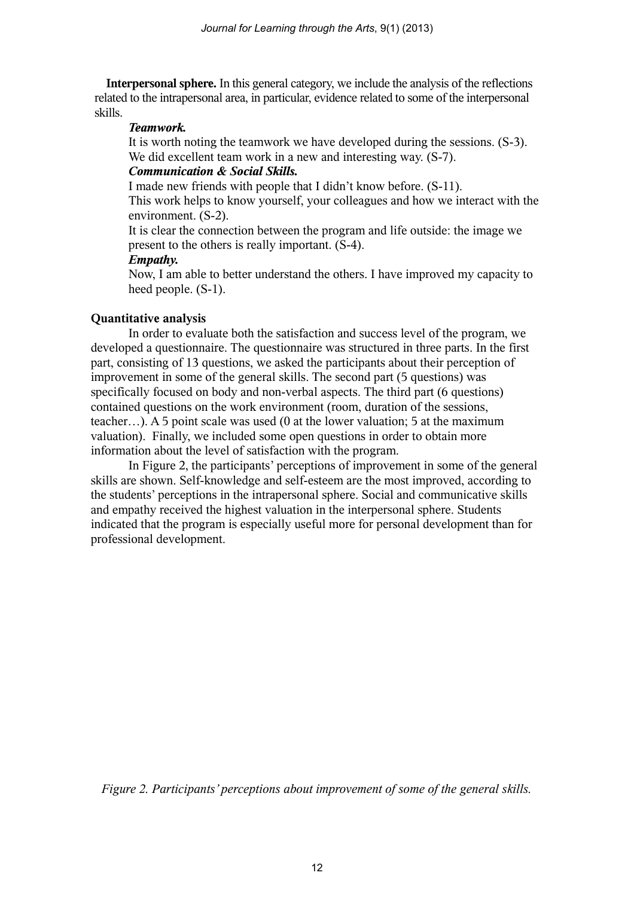**Interpersonal sphere.** In this general category, we include the analysis of the reflections related to the intrapersonal area, in particular, evidence related to some of the interpersonal skills.

# *Teamwork.*

It is worth noting the teamwork we have developed during the sessions. (S-3). We did excellent team work in a new and interesting way. (S-7).

# *Communication & Social Skills.*

I made new friends with people that I didn't know before. (S-11).

This work helps to know yourself, your colleagues and how we interact with the environment. (S-2).

It is clear the connection between the program and life outside: the image we present to the others is really important. (S-4).

# *Empathy.*

Now, I am able to better understand the others. I have improved my capacity to heed people. (S-1).

# **Quantitative analysis**

In order to evaluate both the satisfaction and success level of the program, we developed a questionnaire. The questionnaire was structured in three parts. In the first part, consisting of 13 questions, we asked the participants about their perception of improvement in some of the general skills. The second part (5 questions) was specifically focused on body and non-verbal aspects. The third part (6 questions) contained questions on the work environment (room, duration of the sessions, teacher…). A 5 point scale was used (0 at the lower valuation; 5 at the maximum valuation). Finally, we included some open questions in order to obtain more information about the level of satisfaction with the program.

In Figure 2, the participants' perceptions of improvement in some of the general skills are shown. Self-knowledge and self-esteem are the most improved, according to the students' perceptions in the intrapersonal sphere. Social and communicative skills and empathy received the highest valuation in the interpersonal sphere. Students indicated that the program is especially useful more for personal development than for professional development.

*Figure 2. Participants' perceptions about improvement of some of the general skills.*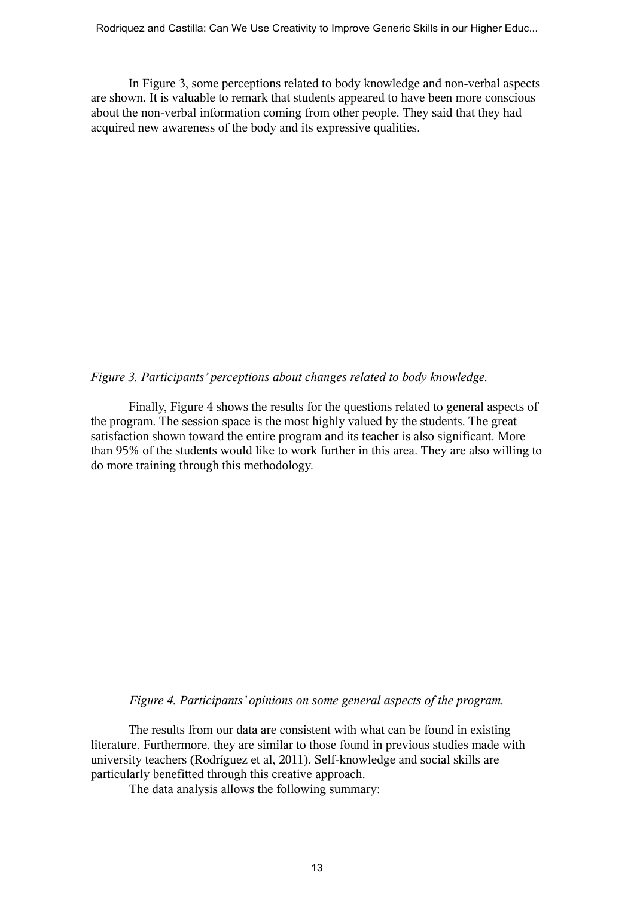Rodriquez and Castilla: Can We Use Creativity to Improve Generic Skills in our Higher Educ...

In Figure 3, some perceptions related to body knowledge and non-verbal aspects are shown. It is valuable to remark that students appeared to have been more conscious about the non-verbal information coming from other people. They said that they had acquired new awareness of the body and its expressive qualities.

### *Figure 3. Participants' perceptions about changes related to body knowledge.*

Finally, Figure 4 shows the results for the questions related to general aspects of the program. The session space is the most highly valued by the students. The great satisfaction shown toward the entire program and its teacher is also significant. More than 95% of the students would like to work further in this area. They are also willing to do more training through this methodology.

*Figure 4. Participants' opinions on some general aspects of the program.*

The results from our data are consistent with what can be found in existing literature. Furthermore, they are similar to those found in previous studies made with university teachers (Rodríguez et al, 2011). Self-knowledge and social skills are particularly benefitted through this creative approach.

The data analysis allows the following summary: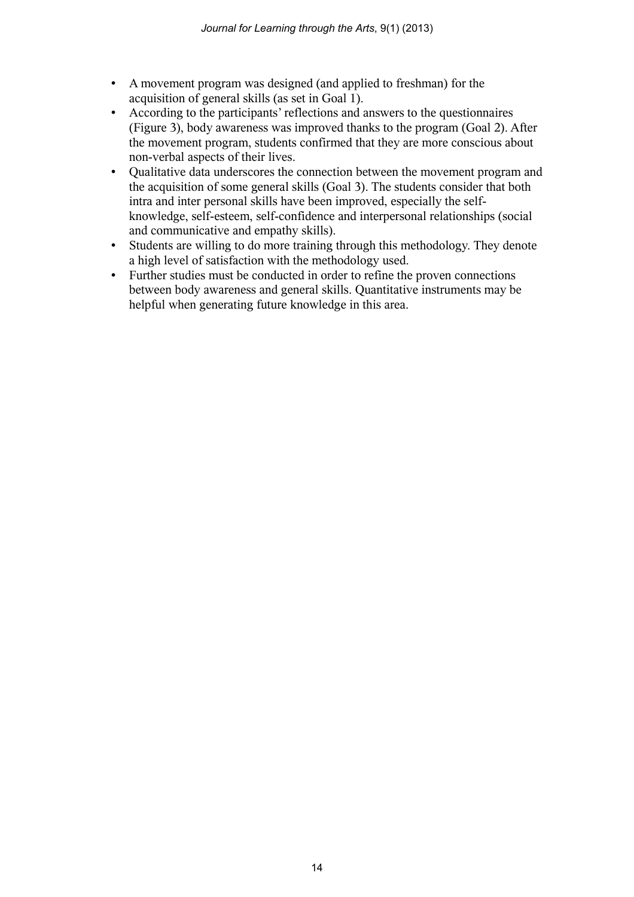- A movement program was designed (and applied to freshman) for the acquisition of general skills (as set in Goal 1).
- According to the participants' reflections and answers to the questionnaires (Figure 3), body awareness was improved thanks to the program (Goal 2). After the movement program, students confirmed that they are more conscious about non-verbal aspects of their lives.
- Qualitative data underscores the connection between the movement program and the acquisition of some general skills (Goal 3). The students consider that both intra and inter personal skills have been improved, especially the selfknowledge, self-esteem, self-confidence and interpersonal relationships (social and communicative and empathy skills).
- Students are willing to do more training through this methodology. They denote a high level of satisfaction with the methodology used.
- Further studies must be conducted in order to refine the proven connections between body awareness and general skills. Quantitative instruments may be helpful when generating future knowledge in this area.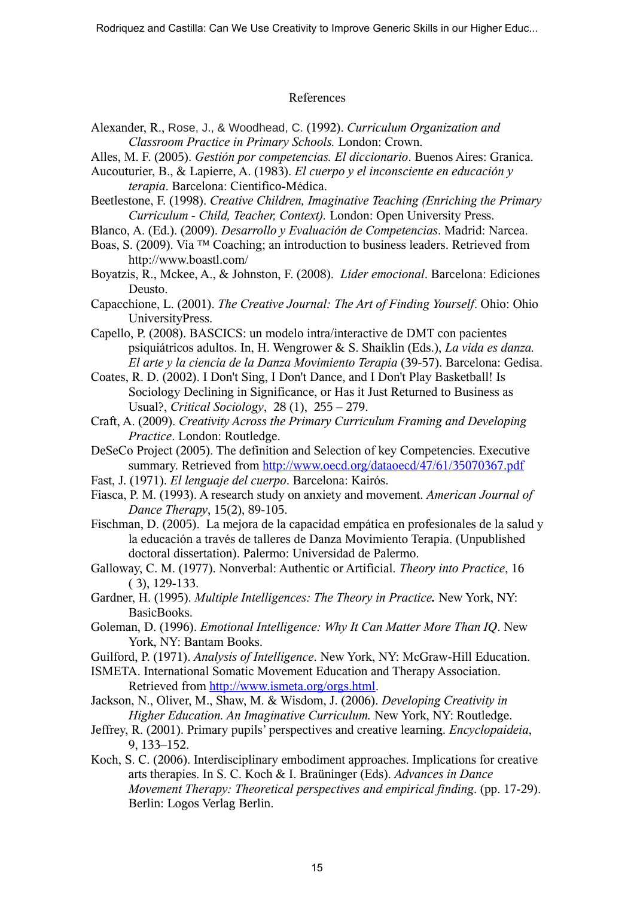## References

- Alexander, R., Rose, J., & Woodhead, C. (1992). *Curriculum Organization and Classroom Practice in Primary Schools.* London: Crown.
- Alles, M. F. (2005). *Gestión por competencias. El diccionario*. Buenos Aires: Granica.
- Aucouturier, B., & Lapierre, A. (1983). *El cuerpo y el inconsciente en educación y terapia*. Barcelona: Cientifico-Médica.
- Beetlestone, F. (1998). *Creative Children, Imaginative Teaching (Enriching the Primary Curriculum - Child, Teacher, Context).* London: Open University Press.
- Blanco, A. (Ed.). (2009). *Desarrollo y Evaluación de Competencias*. Madrid: Narcea.
- Boas, S. (2009). Via ™ Coaching; an introduction to business leaders. Retrieved from http://www.boastl.com/
- Boyatzis, R., Mckee, A., & Johnston, F. (2008). *Líder emocional*. Barcelona: Ediciones Deusto.

Capacchione, L. (2001). *The Creative Journal: The Art of Finding Yourself*. Ohio: Ohio UniversityPress.

- Capello, P. (2008). BASCICS: un modelo intra/interactive de DMT con pacientes psiquiátricos adultos. In, H. Wengrower & S. Shaiklin (Eds.), *La vida es danza. El arte y la ciencia de la Danza Movimiento Terapia* (39-57). Barcelona: Gedisa.
- Coates, R. D. (2002). I Don't Sing, I Don't Dance, and I Don't Play Basketball! Is Sociology Declining in Significance, or Has it Just Returned to Business as Usual?, *Critical Sociology*, 28 (1), 255 – 279.
- Craft, A. (2009). *Creativity Across the Primary Curriculum Framing and Developing Practice*. London: Routledge.
- DeSeCo Project (2005). The definition and Selection of key Competencies. Executive summary. Retrieved from http://www.oecd.org/dataoecd/47/61/35070367.pdf
- Fast, J. (1971). *El lenguaje del cuerpo*. Barcelona: Kairós.
- Fiasca, P. M. (1993). A research study on anxiety and movement. *American Journal of Dance Therapy*, 15(2), 89-105.
- Fischman, D. (2005). La mejora de la capacidad empática en profesionales de la salud y la educación a través de talleres de Danza Movimiento Terapia. (Unpublished doctoral dissertation). Palermo: Universidad de Palermo.
- Galloway, C. M. (1977). Nonverbal: Authentic or Artificial. *Theory into Practice*, 16 ( 3), 129-133.
- Gardner, H. (1995). *Multiple Intelligences: The Theory in Practice.* New York, NY: BasicBooks.
- Goleman, D. (1996). *Emotional Intelligence: Why It Can Matter More Than IQ*. New York, NY: Bantam Books.
- Guilford, P. (1971). *Analysis of Intelligence*. New York, NY: McGraw-Hill Education.
- ISMETA. International Somatic Movement Education and Therapy Association. Retrieved from http://www.ismeta.org/orgs.html.
- Jackson, N., Oliver, M., Shaw, M. & Wisdom, J. (2006). *Developing Creativity in Higher Education. An Imaginative Curriculum.* New York, NY: Routledge.
- Jeffrey, R. (2001). Primary pupils' perspectives and creative learning. *Encyclopaideia*, 9, 133–152.
- Koch, S. C. (2006). Interdisciplinary embodiment approaches. Implications for creative arts therapies. In S. C. Koch & I. Braüninger (Eds). *Advances in Dance Movement Therapy: Theoretical perspectives and empirical finding*. (pp. 17-29). Berlin: Logos Verlag Berlin.